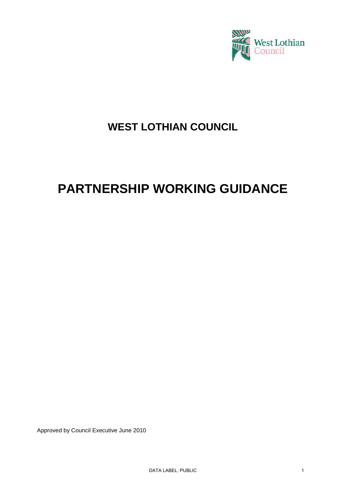

# **WEST LOTHIAN COUNCIL**

# **PARTNERSHIP WORKING GUIDANCE**

Approved by Council Executive June 2010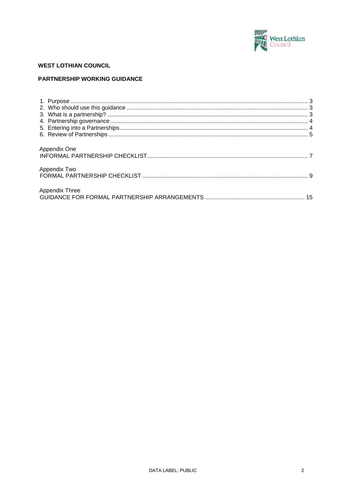

## **WEST LOTHIAN COUNCIL**

#### PARTNERSHIP WORKING GUIDANCE

| Appendix One   |  |
|----------------|--|
| Appendix Two   |  |
| Appendix Three |  |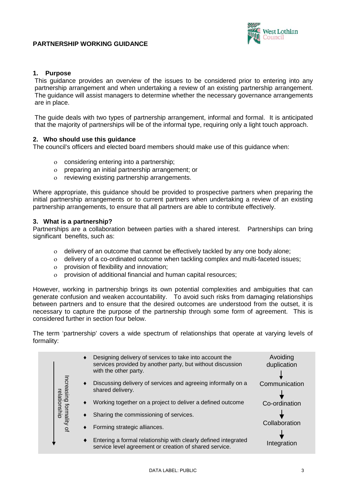#### **PARTNERSHIP WORKING GUIDANCE**



#### <span id="page-2-0"></span>**1. Purpose**

This guidance provides an overview of the issues to be considered prior to entering into any partnership arrangement and when undertaking a review of an existing partnership arrangement. The guidance will assist managers to determine whether the necessary governance arrangements are in place.

The guide deals with two types of partnership arrangement, informal and formal. It is anticipated that the majority of partnerships will be of the informal type, requiring only a light touch approach.

#### <span id="page-2-1"></span>**2. Who should use this guidance**

The council's officers and elected board members should make use of this guidance when:

- ο considering entering into a partnership;
- ο preparing an initial partnership arrangement; or
- ο reviewing existing partnership arrangements.

Where appropriate, this guidance should be provided to prospective partners when preparing the initial partnership arrangements or to current partners when undertaking a review of an existing partnership arrangements, to ensure that all partners are able to contribute effectively.

#### <span id="page-2-2"></span>**3. What is a partnership?**

Partnerships are a collaboration between parties with a shared interest. Partnerships can bring significant benefits, such as:

- ο delivery of an outcome that cannot be effectively tackled by any one body alone;
- ο delivery of a co-ordinated outcome when tackling complex and multi-faceted issues;
- ο provision of flexibility and innovation;
- ο provision of additional financial and human capital resources;

However, working in partnership brings its own potential complexities and ambiguities that can generate confusion and weaken accountability. To avoid such risks from damaging relationships between partners and to ensure that the desired outcomes are understood from the outset, it is necessary to capture the purpose of the partnership through some form of agreement. This is considered further in section four below.

The term 'partnership' covers a wide spectrum of relationships that operate at varying levels of formality:

|                                      | ٠ | Designing delivery of services to take into account the<br>services provided by another party, but without discussion<br>with the other party. | Avoiding<br>duplication |
|--------------------------------------|---|------------------------------------------------------------------------------------------------------------------------------------------------|-------------------------|
| Increasing formality<br>relationship | ٠ | Discussing delivery of services and agreeing informally on a<br>shared delivery.                                                               | Communication           |
|                                      | ٠ | Working together on a project to deliver a defined outcome                                                                                     | Co-ordination           |
|                                      |   | Sharing the commissioning of services.                                                                                                         |                         |
| $\Omega$                             |   | Forming strategic alliances.                                                                                                                   | Collaboration           |
|                                      | ٠ | Entering a formal relationship with clearly defined integrated<br>service level agreement or creation of shared service.                       | Integration             |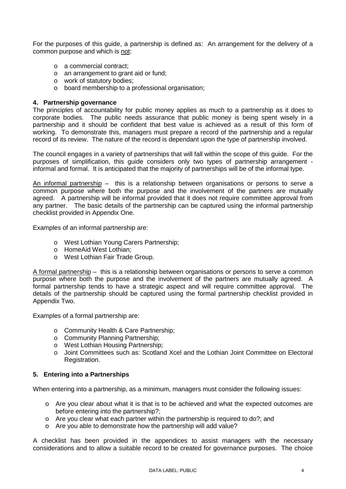For the purposes of this guide, a partnership is defined as: An arrangement for the delivery of a common purpose and which is not:

- o a commercial contract;
- o an arrangement to grant aid or fund;
- o work of statutory bodies;
- o board membership to a professional organisation;

#### <span id="page-3-0"></span>**4. Partnership governance**

The principles of accountability for public money applies as much to a partnership as it does to corporate bodies. The public needs assurance that public money is being spent wisely in a partnership and it should be confident that best value is achieved as a result of this form of working. To demonstrate this, managers must prepare a record of the partnership and a regular record of its review. The nature of the record is dependant upon the type of partnership involved.

The council engages in a variety of partnerships that will fall within the scope of this guide. For the purposes of simplification, this guide considers only two types of partnership arrangement informal and formal. It is anticipated that the majority of partnerships will be of the informal type.

An informal partnership – this is a relationship between organisations or persons to serve a common purpose where both the purpose and the involvement of the partners are mutually agreed. A partnership will be informal provided that it does not require committee approval from any partner. The basic details of the partnership can be captured using the informal partnership checklist provided in Appendix One.

Examples of an informal partnership are:

- o West Lothian Young Carers Partnership;
- o HomeAid West Lothian;
- o West Lothian Fair Trade Group.

A formal partnership – this is a relationship between organisations or persons to serve a common purpose where both the purpose and the involvement of the partners are mutually agreed. A formal partnership tends to have a strategic aspect and will require committee approval. The details of the partnership should be captured using the formal partnership checklist provided in Appendix Two.

Examples of a formal partnership are:

- o Community Health & Care Partnership;
- o Community Planning Partnership;
- o West Lothian Housing Partnership;
- o Joint Committees such as: Scotland Xcel and the Lothian Joint Committee on Electoral Registration.

#### <span id="page-3-1"></span>**5. Entering into a Partnerships**

When entering into a partnership, as a minimum, managers must consider the following issues:

- $\circ$  Are you clear about what it is that is to be achieved and what the expected outcomes are before entering into the partnership?;
- $\circ$  Are you clear what each partner within the partnership is required to do?; and
- o Are you able to demonstrate how the partnership will add value?

A checklist has been provided in the appendices to assist managers with the necessary considerations and to allow a suitable record to be created for governance purposes. The choice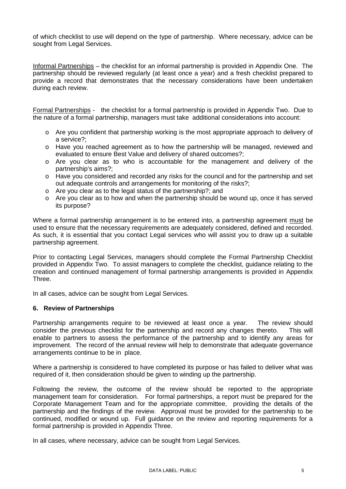of which checklist to use will depend on the type of partnership. Where necessary, advice can be sought from Legal Services.

Informal Partnerships – the checklist for an informal partnership is provided in Appendix One. The partnership should be reviewed regularly (at least once a year) and a fresh checklist prepared to provide a record that demonstrates that the necessary considerations have been undertaken during each review.

Formal Partnerships - the checklist for a formal partnership is provided in Appendix Two. Due to the nature of a formal partnership, managers must take additional considerations into account:

- o Are you confident that partnership working is the most appropriate approach to delivery of a service?;
- o Have you reached agreement as to how the partnership will be managed, reviewed and evaluated to ensure Best Value and delivery of shared outcomes?;
- o Are you clear as to who is accountable for the management and delivery of the partnership's aims?;
- o Have you considered and recorded any risks for the council and for the partnership and set out adequate controls and arrangements for monitoring of the risks?;
- o Are you clear as to the legal status of the partnership?; and
- o Are you clear as to how and when the partnership should be wound up, once it has served its purpose?

Where a formal partnership arrangement is to be entered into, a partnership agreement must be used to ensure that the necessary requirements are adequately considered, defined and recorded. As such, it is essential that you contact Legal services who will assist you to draw up a suitable partnership agreement.

Prior to contacting Legal Services, managers should complete the Formal Partnership Checklist provided in Appendix Two. To assist managers to complete the checklist, guidance relating to the creation and continued management of formal partnership arrangements is provided in Appendix Three.

In all cases, advice can be sought from Legal Services.

#### <span id="page-4-0"></span>**6. Review of Partnerships**

Partnership arrangements require to be reviewed at least once a year. The review should consider the previous checklist for the partnership and record any changes thereto. This will enable to partners to assess the performance of the partnership and to identify any areas for improvement. The record of the annual review will help to demonstrate that adequate governance arrangements continue to be in place.

Where a partnership is considered to have completed its purpose or has failed to deliver what was required of it, then consideration should be given to winding up the partnership.

Following the review, the outcome of the review should be reported to the appropriate management team for consideration. For formal partnerships, a report must be prepared for the Corporate Management Team and for the appropriate committee, providing the details of the partnership and the findings of the review. Approval must be provided for the partnership to be continued, modified or wound up. Full guidance on the review and reporting requirements for a formal partnership is provided in Appendix Three.

In all cases, where necessary, advice can be sought from Legal Services.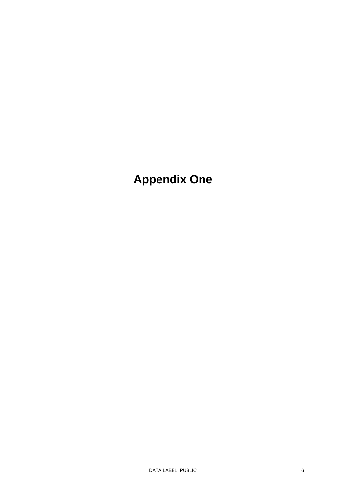**Appendix One**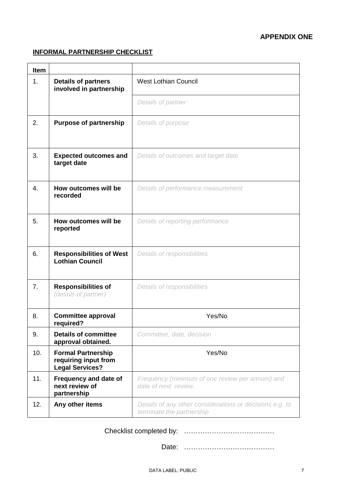## **APPENDIX ONE**

# <span id="page-6-0"></span>**INFORMAL PARTNERSHIP CHECKLIST**

| <b>Item</b>                                                 |                                                                             |                                                                                       |  |
|-------------------------------------------------------------|-----------------------------------------------------------------------------|---------------------------------------------------------------------------------------|--|
| 1.<br><b>Details of partners</b><br>involved in partnership |                                                                             | <b>West Lothian Council</b>                                                           |  |
|                                                             |                                                                             | Details of partner                                                                    |  |
| 2.                                                          | <b>Purpose of partnership</b>                                               | Details of purpose                                                                    |  |
| 3.                                                          | <b>Expected outcomes and</b><br>target date                                 | Details of outcomes and target date                                                   |  |
| 4.                                                          | How outcomes will be<br>recorded                                            | Details of performance measurement                                                    |  |
| 5.                                                          | How outcomes will be<br>reported                                            | Details of reporting performance                                                      |  |
| 6.                                                          | <b>Responsibilities of West</b><br><b>Lothian Council</b>                   | Details of responsibilities                                                           |  |
| 7.                                                          | <b>Responsibilities of</b><br>(details of partner)                          | Details of responsibilities                                                           |  |
| 8.                                                          | <b>Committee approval</b><br>required?                                      | Yes/No                                                                                |  |
| 9.                                                          | <b>Details of committee</b><br>approval obtained.                           | Committee, date, decision                                                             |  |
| 10.                                                         | <b>Formal Partnership</b><br>requiring input from<br><b>Legal Services?</b> | Yes/No                                                                                |  |
| 11.                                                         | Frequency and date of<br>next review of<br>partnership                      | Frequency (minimum of one review per annum) and<br>date of next review.               |  |
| 12.                                                         | Any other items                                                             | Details of any other considerations or decisions e.g. to<br>terminate the partnership |  |

Checklist completed by: …………………………………

Date: …………………………………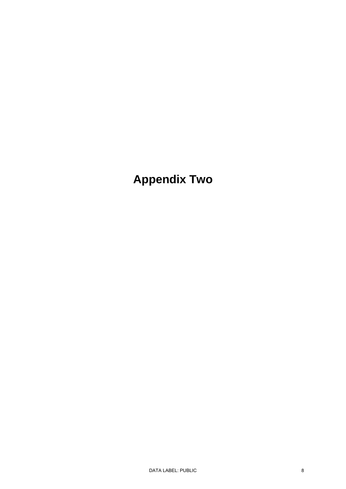**Appendix Two**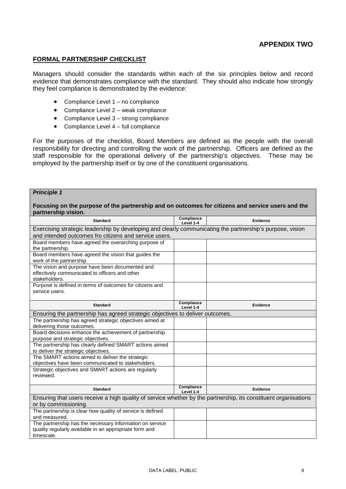#### <span id="page-8-0"></span>**FORMAL PARTNERSHIP CHECKLIST**

Managers should consider the standards within each of the six principles below and record evidence that demonstrates compliance with the standard. They should also indicate how strongly they feel compliance is demonstrated by the evidence:

- Compliance Level 1 no compliance
- Compliance Level 2 weak compliance
- Compliance Level 3 strong compliance
- Compliance Level 4 full compliance

For the purposes of the checklist, Board Members are defined as the people with the overall responsibility for directing and controlling the work of the partnership. Officers are defined as the staff responsible for the operational delivery of the partnership's objectives. These may be employed by the partnership itself or by one of the constituent organisations.

#### *Principle 1*

#### **Focusing on the purpose of the partnership and on outcomes for citizens and service users and the partnership vision.**

| <b>Standard</b>                                                                                                 | Compliance<br>Level 1-4 | <b>Evidence</b> |  |
|-----------------------------------------------------------------------------------------------------------------|-------------------------|-----------------|--|
| Exercising strategic leadership by developing and clearly communicating the partnership's purpose, vision       |                         |                 |  |
| and intended outcomes fro citizens and service users.                                                           |                         |                 |  |
| Board members have agreed the overarching purpose of                                                            |                         |                 |  |
| the partnership.                                                                                                |                         |                 |  |
| Board members have agreed the vision that guides the                                                            |                         |                 |  |
| work of the partnership.                                                                                        |                         |                 |  |
| The vision and purpose have been documented and                                                                 |                         |                 |  |
| effectively communicated to officers and other                                                                  |                         |                 |  |
| stakeholders.                                                                                                   |                         |                 |  |
| Purpose is defined in terms of outcomes for citizens and                                                        |                         |                 |  |
| service users.                                                                                                  |                         |                 |  |
|                                                                                                                 |                         |                 |  |
| <b>Standard</b>                                                                                                 | Compliance<br>Level 1-4 | <b>Evidence</b> |  |
| Ensuring the partnership has agreed strategic objectives to deliver outcomes.                                   |                         |                 |  |
| The partnership has agreed strategic objectives aimed at                                                        |                         |                 |  |
| delivering those outcomes.                                                                                      |                         |                 |  |
| Board decisions enhance the achievement of partnership                                                          |                         |                 |  |
| purpose and strategic objectives.                                                                               |                         |                 |  |
| The partnership has clearly defined SMART actions aimed                                                         |                         |                 |  |
| to deliver the strategic objectives.                                                                            |                         |                 |  |
| The SMART actions aimed to deliver the strategic                                                                |                         |                 |  |
| objectives have been communicated to stakeholders.                                                              |                         |                 |  |
| Strategic objectives and SMART actions are regularly                                                            |                         |                 |  |
| reviewed.                                                                                                       |                         |                 |  |
|                                                                                                                 |                         |                 |  |
| <b>Standard</b>                                                                                                 | Compliance<br>Level 1-4 | Evidence        |  |
| Ensuring that users receive a high quality of service whether by the partnership, its constituent organisations |                         |                 |  |
| or by commissioning.                                                                                            |                         |                 |  |
| The partnership is clear how quality of service is defined                                                      |                         |                 |  |
| and measured.                                                                                                   |                         |                 |  |
| The partnership has the necessary information on service                                                        |                         |                 |  |
| quality regularly available in an appropriate form and                                                          |                         |                 |  |
| timescale.                                                                                                      |                         |                 |  |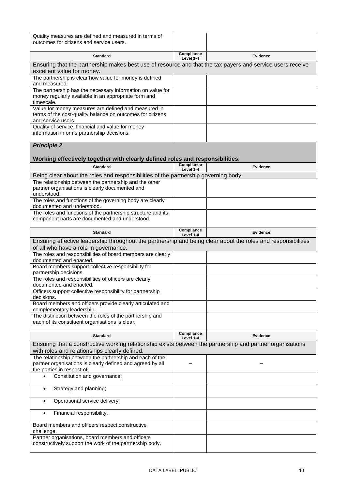| Quality measures are defined and measured in terms of<br>outcomes for citizens and service users.                                                           |                         |                 |  |
|-------------------------------------------------------------------------------------------------------------------------------------------------------------|-------------------------|-----------------|--|
| <b>Standard</b>                                                                                                                                             | Compliance<br>Level 1-4 | Evidence        |  |
| Ensuring that the partnership makes best use of resource and that the tax payers and service users receive<br>excellent value for money.                    |                         |                 |  |
| The partnership is clear how value for money is defined<br>and measured.                                                                                    |                         |                 |  |
| The partnership has the necessary information on value for<br>money regularly available in an appropriate form and<br>timescale.                            |                         |                 |  |
| Value for money measures are defined and measured in<br>terms of the cost-quality balance on outcomes for citizens<br>and service users.                    |                         |                 |  |
| Quality of service, financial and value for money<br>information informs partnership decisions.                                                             |                         |                 |  |
| <b>Principle 2</b>                                                                                                                                          |                         |                 |  |
| Working effectively together with clearly defined roles and responsibilities.<br><b>Standard</b>                                                            | Compliance              |                 |  |
|                                                                                                                                                             | Level 1-4               | <b>Evidence</b> |  |
| Being clear about the roles and responsibilities of the partnership governing body.<br>The relationship between the partnership and the other               |                         |                 |  |
| partner organisations is clearly documented and<br>understood.                                                                                              |                         |                 |  |
| The roles and functions of the governing body are clearly<br>documented and understood.                                                                     |                         |                 |  |
| The roles and functions of the partnership structure and its<br>component parts are documented and understood.                                              |                         |                 |  |
| <b>Standard</b>                                                                                                                                             | Compliance<br>Level 1-4 | Evidence        |  |
| Ensuring effective leadership throughout the partnership and being clear about the roles and responsibilities<br>of all who have a role in governance.      |                         |                 |  |
| The roles and responsibilities of board members are clearly<br>documented and enacted.                                                                      |                         |                 |  |
| Board members support collective responsibility for<br>partnership decisions.                                                                               |                         |                 |  |
| The roles and responsibilities of officers are clearly<br>documented and enacted.                                                                           |                         |                 |  |
| Officers support collective responsibility for partnership<br>decisions.                                                                                    |                         |                 |  |
| Board members and officers provide clearly articulated and<br>complementary leadership.                                                                     |                         |                 |  |
| The distinction between the roles of the partnership and<br>each of its constituent organisations is clear.                                                 |                         |                 |  |
| <b>Standard</b>                                                                                                                                             | Compliance<br>Level 1-4 | <b>Evidence</b> |  |
| Ensuring that a constructive working relationship exists between the partnership and partner organisations<br>with roles and relationships clearly defined. |                         |                 |  |
| The relationship between the partnership and each of the<br>partner organisations is clearly defined and agreed by all<br>the parties in respect of:        |                         |                 |  |
| Constitution and governance;<br>$\bullet$                                                                                                                   |                         |                 |  |
| Strategy and planning;<br>$\bullet$                                                                                                                         |                         |                 |  |
| Operational service delivery;<br>$\bullet$                                                                                                                  |                         |                 |  |
| Financial responsibility.<br>$\bullet$                                                                                                                      |                         |                 |  |
| Board members and officers respect constructive<br>challenge.                                                                                               |                         |                 |  |
| Partner organisations, board members and officers<br>constructively support the work of the partnership body.                                               |                         |                 |  |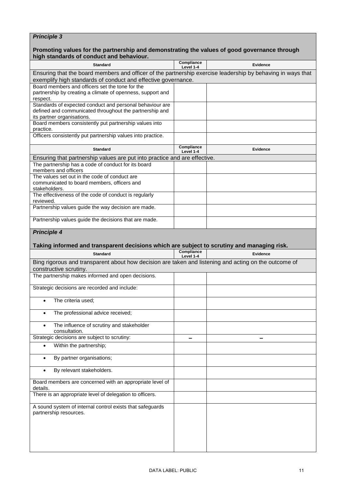# *Principle 3*

#### **Promoting values for the partnership and demonstrating the values of good governance through high standards of conduct and behaviour.**

| <b>Standard</b>                                                                                                                                   | Compliance<br>Level 1-4                                                                                     | Evidence        |  |  |
|---------------------------------------------------------------------------------------------------------------------------------------------------|-------------------------------------------------------------------------------------------------------------|-----------------|--|--|
|                                                                                                                                                   | Ensuring that the board members and officer of the partnership exercise leadership by behaving in ways that |                 |  |  |
| exemplify high standards of conduct and effective governance.<br>Board members and officers set the tone for the                                  |                                                                                                             |                 |  |  |
| partnership by creating a climate of openness, support and<br>respect.                                                                            |                                                                                                             |                 |  |  |
| Standards of expected conduct and personal behaviour are<br>defined and communicated throughout the partnership and<br>its partner organisations. |                                                                                                             |                 |  |  |
| Board members consistently put partnership values into<br>practice.                                                                               |                                                                                                             |                 |  |  |
| Officers consistently put partnership values into practice.                                                                                       |                                                                                                             |                 |  |  |
| <b>Standard</b>                                                                                                                                   | Compliance<br>Level 1-4                                                                                     | Evidence        |  |  |
| Ensuring that partnership values are put into practice and are effective.                                                                         |                                                                                                             |                 |  |  |
| The partnership has a code of conduct for its board<br>members and officers                                                                       |                                                                                                             |                 |  |  |
| The values set out in the code of conduct are<br>communicated to board members, officers and<br>stakeholders.                                     |                                                                                                             |                 |  |  |
| The effectiveness of the code of conduct is regularly<br>reviewed.                                                                                |                                                                                                             |                 |  |  |
| Partnership values guide the way decision are made.                                                                                               |                                                                                                             |                 |  |  |
| Partnership values guide the decisions that are made.                                                                                             |                                                                                                             |                 |  |  |
| <b>Principle 4</b>                                                                                                                                |                                                                                                             |                 |  |  |
| Taking informed and transparent decisions which are subject to scrutiny and managing risk.                                                        |                                                                                                             |                 |  |  |
| <b>Standard</b>                                                                                                                                   | Compliance<br>Level 1-4                                                                                     | <b>Evidence</b> |  |  |
| Bing rigorous and transparent about how decision are taken and listening and acting on the outcome of<br>constructive scrutiny.                   |                                                                                                             |                 |  |  |
| The partnership makes informed and open decisions.                                                                                                |                                                                                                             |                 |  |  |
| Strategic decisions are recorded and include:                                                                                                     |                                                                                                             |                 |  |  |
| The criteria used:<br>$\bullet$                                                                                                                   |                                                                                                             |                 |  |  |
| The professional advice received;<br>٠                                                                                                            |                                                                                                             |                 |  |  |
| The influence of scrutiny and stakeholder<br>consultation.                                                                                        |                                                                                                             |                 |  |  |
| Strategic decisions are subject to scrutiny:                                                                                                      |                                                                                                             |                 |  |  |
| Within the partnership;                                                                                                                           |                                                                                                             |                 |  |  |
| By partner organisations;<br>$\bullet$                                                                                                            |                                                                                                             |                 |  |  |
| By relevant stakeholders.                                                                                                                         |                                                                                                             |                 |  |  |
| Board members are concerned with an appropriate level of<br>details.                                                                              |                                                                                                             |                 |  |  |
| There is an appropriate level of delegation to officers.                                                                                          |                                                                                                             |                 |  |  |
| A sound system of internal control exists that safeguards<br>partnership resources.                                                               |                                                                                                             |                 |  |  |
|                                                                                                                                                   |                                                                                                             |                 |  |  |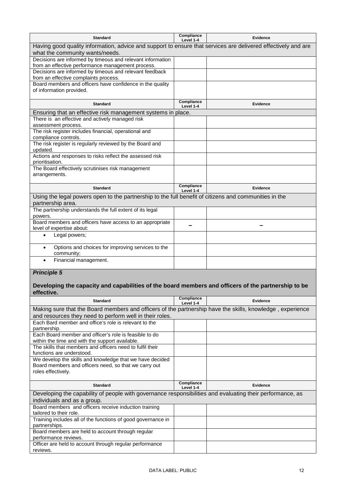| <b>Standard</b>                                                                                                                                  | Compliance<br>Level 1-4 | <b>Evidence</b> |  |
|--------------------------------------------------------------------------------------------------------------------------------------------------|-------------------------|-----------------|--|
| Having good quality information, advice and support to ensure that services are delivered effectively and are<br>what the community wants/needs. |                         |                 |  |
| Decisions are informed by timeous and relevant information<br>from an effective performance management process.                                  |                         |                 |  |
| Decisions are informed by timeous and relevant feedback<br>from an effective complaints process.                                                 |                         |                 |  |
| Board members and officers have confidence in the quality                                                                                        |                         |                 |  |
| of information provided.                                                                                                                         |                         |                 |  |
| <b>Standard</b>                                                                                                                                  | Compliance<br>Level 1-4 | <b>Evidence</b> |  |
| Ensuring that an effective risk management systems in place.                                                                                     |                         |                 |  |
| There is an effective and actively managed risk<br>assessment process.                                                                           |                         |                 |  |
| The risk register includes financial, operational and<br>compliance controls.                                                                    |                         |                 |  |
| The risk register is regularly reviewed by the Board and<br>updated.                                                                             |                         |                 |  |
| Actions and responses to risks reflect the assessed risk<br>prioritisation.                                                                      |                         |                 |  |
| The Board effectively scrutinises risk management<br>arrangements.                                                                               |                         |                 |  |
| <b>Standard</b>                                                                                                                                  | Compliance<br>Level 1-4 | Evidence        |  |
| Using the legal powers open to the partnership to the full benefit of citizens and communities in the<br>partnership area.                       |                         |                 |  |
| The partnership understands the full extent of its legal<br>powers.                                                                              |                         |                 |  |
| Board members and officers have access to an appropriate<br>level of expertise about:                                                            |                         |                 |  |
| Legal powers;<br>$\bullet$                                                                                                                       |                         |                 |  |
| Options and choices for improving services to the<br>$\bullet$<br>community;                                                                     |                         |                 |  |
| Financial management.                                                                                                                            |                         |                 |  |
| <b>Principle 5</b>                                                                                                                               |                         |                 |  |
| Developing the capacity and capabilities of the board members and officers of the partnership to be<br>effective.                                |                         |                 |  |
| <b>Standard</b>                                                                                                                                  | Compliance<br>Level 1-4 | <b>Evidence</b> |  |
| Making sure that the Board members and officers of the partnership have the skills, knowledge, experience                                        |                         |                 |  |
| and resources they need to perform well in their roles.                                                                                          |                         |                 |  |
| Each Bard member and office's role is relevant to the<br>partnership.                                                                            |                         |                 |  |
| Each Board member and officer's role is feasible to do<br>within the time and with the support available.                                        |                         |                 |  |
| The skills that members and officers need to fulfil their<br>functions are understood.                                                           |                         |                 |  |
| We develop the skills and knowledge that we have decided<br>Board members and officers need, so that we carry out                                |                         |                 |  |
| roles effectively.                                                                                                                               |                         |                 |  |
| <b>Standard</b>                                                                                                                                  | Compliance<br>Level 1-4 | <b>Evidence</b> |  |
| Developing the capability of people with governance responsibilities and evaluating their performance, as<br>individuals and as a group.         |                         |                 |  |
| Board members and officers receive induction training<br>tailored to their role.                                                                 |                         |                 |  |
| Training includes all of the functions of good governance in<br>partnerships.                                                                    |                         |                 |  |
| Board members are held to account through regular                                                                                                |                         |                 |  |

performance reviews.

reviews.

Officer are held to account through regular performance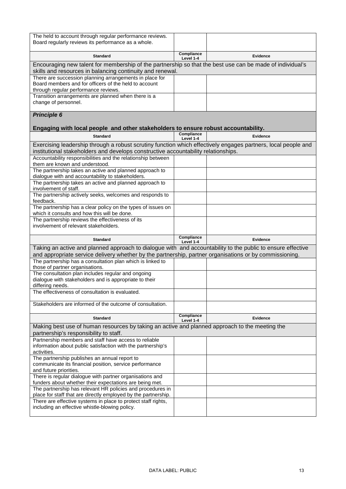| The held to account through regular performance reviews.                                                         |                         |                 |
|------------------------------------------------------------------------------------------------------------------|-------------------------|-----------------|
| Board regularly reviews its performance as a whole.                                                              |                         |                 |
|                                                                                                                  |                         |                 |
| <b>Standard</b>                                                                                                  | Compliance<br>Level 1-4 | <b>Evidence</b> |
| Encouraging new talent for membership of the partnership so that the best use can be made of individual's        |                         |                 |
| skills and resources in balancing continuity and renewal.                                                        |                         |                 |
|                                                                                                                  |                         |                 |
| There are succession planning arrangements in place for<br>Board members and for officers of the held to account |                         |                 |
| through regular performance reviews.                                                                             |                         |                 |
| Transition arrangements are planned when there is a                                                              |                         |                 |
| change of personnel.                                                                                             |                         |                 |
|                                                                                                                  |                         |                 |
| <b>Principle 6</b>                                                                                               |                         |                 |
|                                                                                                                  |                         |                 |
|                                                                                                                  |                         |                 |
| Engaging with local people and other stakeholders to ensure robust accountability.                               | Compliance              |                 |
| <b>Standard</b>                                                                                                  | Level 1-4               | <b>Evidence</b> |
| Exercising leadership through a robust scrutiny function which effectively engages partners, local people and    |                         |                 |
| institutional stakeholders and develops constructive accountability relationships.                               |                         |                 |
| Accountability responsibilities and the relationship between                                                     |                         |                 |
| them are known and understood.                                                                                   |                         |                 |
| The partnership takes an active and planned approach to                                                          |                         |                 |
| dialogue with and accountability to stakeholders.                                                                |                         |                 |
| The partnership takes an active and planned approach to                                                          |                         |                 |
| involvement of staff.                                                                                            |                         |                 |
| The partnership actively seeks, welcomes and responds to                                                         |                         |                 |
| feedback.                                                                                                        |                         |                 |
| The partnership has a clear policy on the types of issues on                                                     |                         |                 |
| which it consults and how this will be done.                                                                     |                         |                 |
| The partnership reviews the effectiveness of its                                                                 |                         |                 |
| involvement of relevant stakeholders.                                                                            |                         |                 |
|                                                                                                                  |                         |                 |
| <b>Standard</b>                                                                                                  | Compliance              | Evidence        |
| Taking an active and planned approach to dialogue with and accountability to the public to ensure effective      | Level 1-4               |                 |
|                                                                                                                  |                         |                 |
| and appropriate service delivery whether by the partnership, partner organisations or by commissioning.          |                         |                 |
| The partnership has a consultation plan which is linked to<br>those of partner organisations.                    |                         |                 |
| The consultation plan includes regular and ongoing                                                               |                         |                 |
| dialogue with stakeholders and is appropriate to their                                                           |                         |                 |
| differing needs.                                                                                                 |                         |                 |
| The effectiveness of consultation is evaluated.                                                                  |                         |                 |
|                                                                                                                  |                         |                 |
| Stakeholders are informed of the outcome of consultation.                                                        |                         |                 |
|                                                                                                                  |                         |                 |
| <b>Standard</b>                                                                                                  | Compliance              | <b>Evidence</b> |
|                                                                                                                  | Level 1-4               |                 |
| Making best use of human resources by taking an active and planned approach to the meeting the                   |                         |                 |
| partnership's responsibility to staff.                                                                           |                         |                 |
| Partnership members and staff have access to reliable                                                            |                         |                 |
| information about public satisfaction with the partnership's                                                     |                         |                 |
| activities.                                                                                                      |                         |                 |
| The partnership publishes an annual report to                                                                    |                         |                 |
| communicate its financial position, service performance                                                          |                         |                 |
| and future priorities.                                                                                           |                         |                 |
| There is regular dialogue with partner organisations and                                                         |                         |                 |
| funders about whether their expectations are being met.                                                          |                         |                 |
| The partnership has relevant HR policies and procedures in                                                       |                         |                 |
| place for staff that are directly employed by the partnership.                                                   |                         |                 |
|                                                                                                                  |                         |                 |
| There are effective systems in place to protect staff rights,<br>including an effective whistle-blowing policy.  |                         |                 |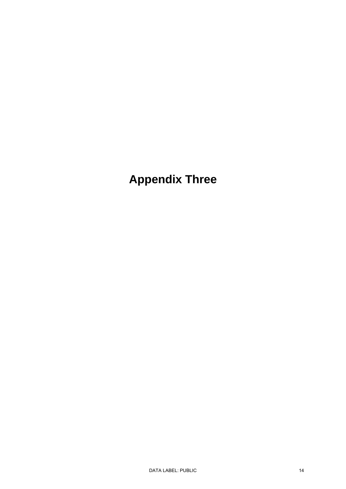**Appendix Three**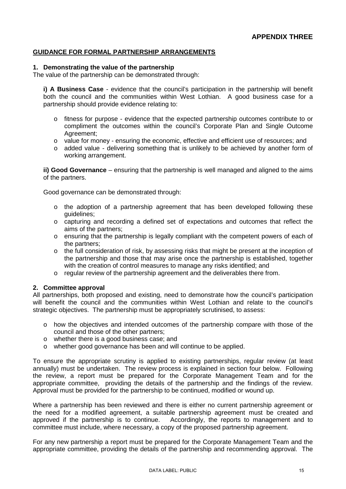#### <span id="page-14-0"></span>**GUIDANCE FOR FORMAL PARTNERSHIP ARRANGEMENTS**

#### **1. Demonstrating the value of the partnership**

The value of the partnership can be demonstrated through:

**i) A Business Case** - evidence that the council's participation in the partnership will benefit both the council and the communities within West Lothian. A good business case for a partnership should provide evidence relating to:

- o fitness for purpose evidence that the expected partnership outcomes contribute to or compliment the outcomes within the council's Corporate Plan and Single Outcome Agreement;
- o value for money ensuring the economic, effective and efficient use of resources; and
- o added value delivering something that is unlikely to be achieved by another form of working arrangement.

**ii) Good Governance** – ensuring that the partnership is well managed and aligned to the aims of the partners.

Good governance can be demonstrated through:

- $\circ$  the adoption of a partnership agreement that has been developed following these guidelines;
- o capturing and recording a defined set of expectations and outcomes that reflect the aims of the partners;
- o ensuring that the partnership is legally compliant with the competent powers of each of the partners;
- o the full consideration of risk, by assessing risks that might be present at the inception of the partnership and those that may arise once the partnership is established, together with the creation of control measures to manage any risks identified; and
- $\circ$  regular review of the partnership agreement and the deliverables there from.

#### **2. Committee approval**

All partnerships, both proposed and existing, need to demonstrate how the council's participation will benefit the council and the communities within West Lothian and relate to the council's strategic objectives. The partnership must be appropriately scrutinised, to assess:

- o how the objectives and intended outcomes of the partnership compare with those of the council and those of the other partners;
- o whether there is a good business case; and
- o whether good governance has been and will continue to be applied.

To ensure the appropriate scrutiny is applied to existing partnerships, regular review (at least annually) must be undertaken. The review process is explained in section four below. Following the review, a report must be prepared for the Corporate Management Team and for the appropriate committee, providing the details of the partnership and the findings of the review. Approval must be provided for the partnership to be continued, modified or wound up.

Where a partnership has been reviewed and there is either no current partnership agreement or the need for a modified agreement, a suitable partnership agreement must be created and approved if the partnership is to continue. Accordingly, the reports to management and to committee must include, where necessary, a copy of the proposed partnership agreement.

For any new partnership a report must be prepared for the Corporate Management Team and the appropriate committee, providing the details of the partnership and recommending approval. The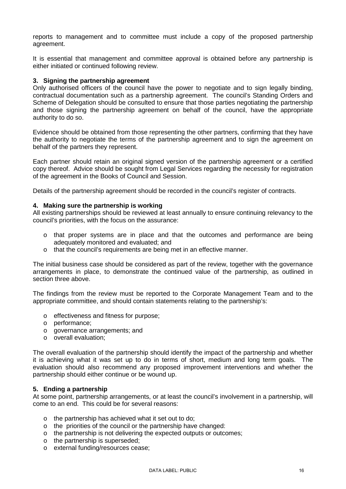reports to management and to committee must include a copy of the proposed partnership agreement.

It is essential that management and committee approval is obtained before any partnership is either initiated or continued following review.

#### **3. Signing the partnership agreement**

Only authorised officers of the council have the power to negotiate and to sign legally binding, contractual documentation such as a partnership agreement. The council's Standing Orders and Scheme of Delegation should be consulted to ensure that those parties negotiating the partnership and those signing the partnership agreement on behalf of the council, have the appropriate authority to do so.

Evidence should be obtained from those representing the other partners, confirming that they have the authority to negotiate the terms of the partnership agreement and to sign the agreement on behalf of the partners they represent.

Each partner should retain an original signed version of the partnership agreement or a certified copy thereof. Advice should be sought from Legal Services regarding the necessity for registration of the agreement in the Books of Council and Session.

Details of the partnership agreement should be recorded in the council's register of contracts.

#### **4. Making sure the partnership is working**

All existing partnerships should be reviewed at least annually to ensure continuing relevancy to the council's priorities, with the focus on the assurance:

- o that proper systems are in place and that the outcomes and performance are being adequately monitored and evaluated; and
- o that the council's requirements are being met in an effective manner.

The initial business case should be considered as part of the review, together with the governance arrangements in place, to demonstrate the continued value of the partnership, as outlined in section three above.

The findings from the review must be reported to the Corporate Management Team and to the appropriate committee, and should contain statements relating to the partnership's:

- o effectiveness and fitness for purpose;
- o performance;
- o governance arrangements; and
- o overall evaluation;

The overall evaluation of the partnership should identify the impact of the partnership and whether it is achieving what it was set up to do in terms of short, medium and long term goals. The evaluation should also recommend any proposed improvement interventions and whether the partnership should either continue or be wound up.

#### **5. Ending a partnership**

At some point, partnership arrangements, or at least the council's involvement in a partnership, will come to an end. This could be for several reasons:

- o the partnership has achieved what it set out to do;
- o the priorities of the council or the partnership have changed:
- o the partnership is not delivering the expected outputs or outcomes;
- o the partnership is superseded;
- o external funding/resources cease;